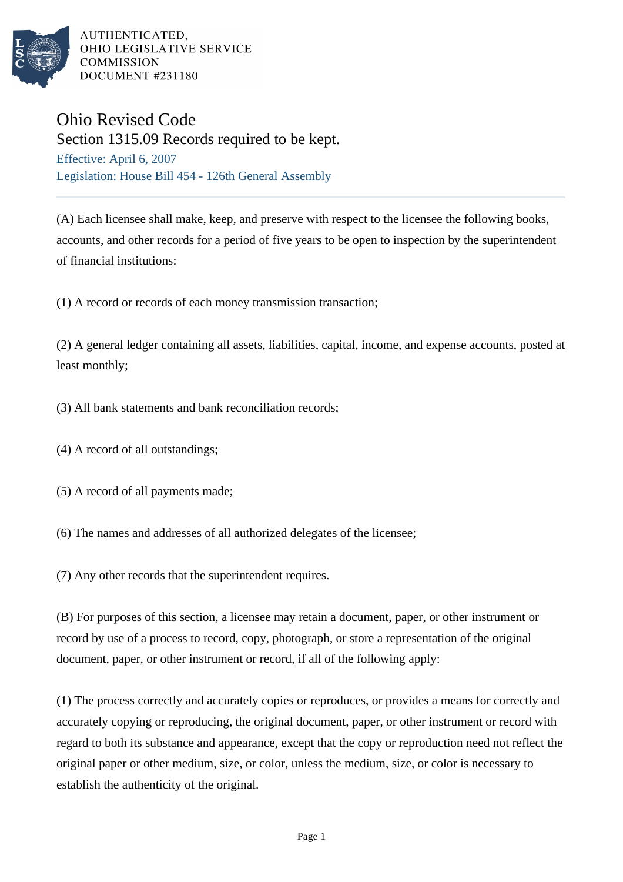

AUTHENTICATED. OHIO LEGISLATIVE SERVICE **COMMISSION** DOCUMENT #231180

## Ohio Revised Code

Section 1315.09 Records required to be kept. Effective: April 6, 2007 Legislation: House Bill 454 - 126th General Assembly

(A) Each licensee shall make, keep, and preserve with respect to the licensee the following books, accounts, and other records for a period of five years to be open to inspection by the superintendent of financial institutions:

(1) A record or records of each money transmission transaction;

(2) A general ledger containing all assets, liabilities, capital, income, and expense accounts, posted at least monthly;

(3) All bank statements and bank reconciliation records;

- (4) A record of all outstandings;
- (5) A record of all payments made;
- (6) The names and addresses of all authorized delegates of the licensee;

(7) Any other records that the superintendent requires.

(B) For purposes of this section, a licensee may retain a document, paper, or other instrument or record by use of a process to record, copy, photograph, or store a representation of the original document, paper, or other instrument or record, if all of the following apply:

(1) The process correctly and accurately copies or reproduces, or provides a means for correctly and accurately copying or reproducing, the original document, paper, or other instrument or record with regard to both its substance and appearance, except that the copy or reproduction need not reflect the original paper or other medium, size, or color, unless the medium, size, or color is necessary to establish the authenticity of the original.